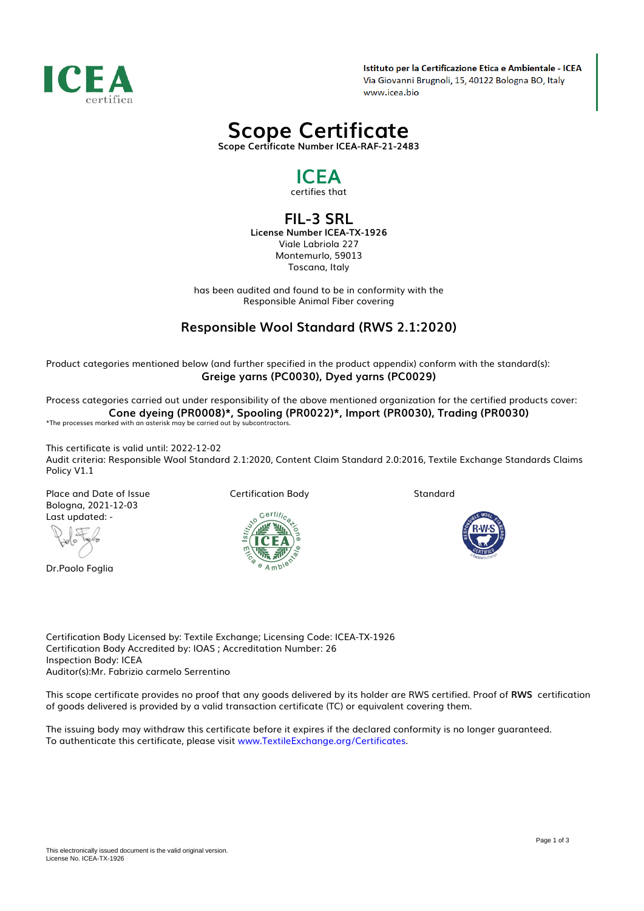

Istituto per la Certificazione Etica e Ambientale - ICEA Via Giovanni Brugnoli, 15, 40122 Bologna BO, Italy www.icea.bio

# *Scope Certificate*

*Scope Certificate Number ICEA-RAF-21-2483*

## *ICEA*

*certifies that*

### *FIL-3 SRL*

*License Number ICEA-TX-1926 Viale Labriola 227 Montemurlo, 59013 Toscana, Italy*

*has been audited and found to be in conformity with the Responsible Animal Fiber covering*

### *Responsible Wool Standard (RWS 2.1:2020)*

*Product categories mentioned below (and further specified in the product appendix) conform with the standard(s): Greige yarns (PC0030), Dyed yarns (PC0029)*

*Process categories carried out under responsibility of the above mentioned organization for the certified products cover: Cone dyeing (PR0008)\*, Spooling (PR0022)\*, Import (PR0030), Trading (PR0030) \*The processes marked with an asterisk may be carried out by subcontractors.*

*This certificate is valid until: 2022-12-02 Audit criteria: Responsible Wool Standard 2.1:2020, Content Claim Standard 2.0:2016, Textile Exchange Standards Claims Policy V1.1*

*Place and Date of Issue Bologna, 2021-12-03 Last updated: -*

*Dr.Paolo Foglia*

*Certification Body*



*Standard*



*Certification Body Licensed by: Textile Exchange; Licensing Code: ICEA-TX-1926 Certification Body Accredited by: IOAS ; Accreditation Number: 26 Inspection Body: ICEA Auditor(s):Mr. Fabrizio carmelo Serrentino*

*This scope certificate provides no proof that any goods delivered by its holder are RWS certified. Proof of RWS certification of goods delivered is provided by a valid transaction certificate (TC) or equivalent covering them.*

*The issuing body may withdraw this certificate before it expires if the declared conformity is no longer guaranteed. To authenticate this certificate, please visit [www.TextileExchange.org/Certificates](https://www.TextileExchange.org/Certificates).*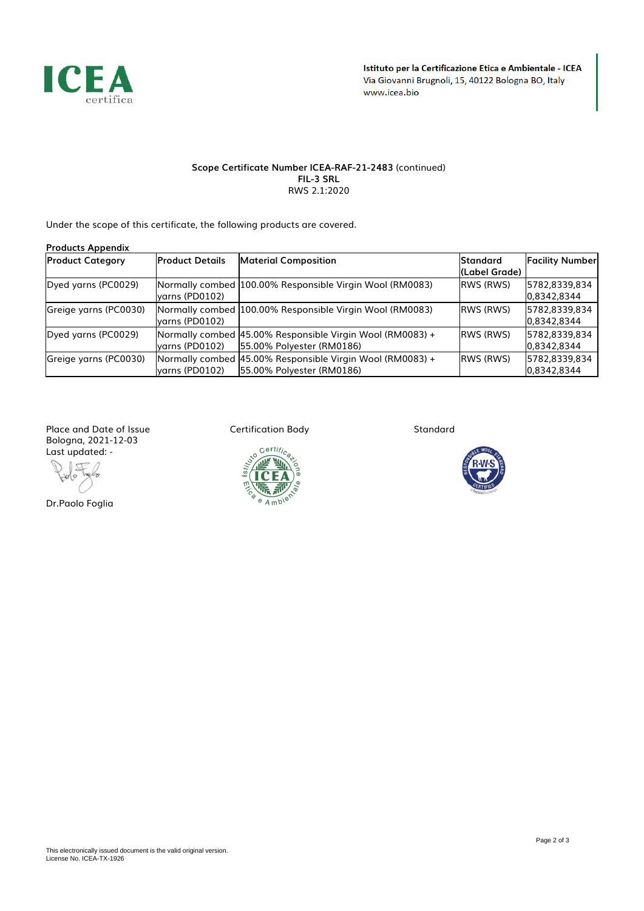

#### *Scope Certificate Number ICEA-RAF-21-2483 (continued) FIL-3 SRL RWS 2.1:2020*

*Under the scope of this certificate, the following products are covered.*

| <b>Products Appendix</b> |                        |                                                                                        |                                  |                              |  |
|--------------------------|------------------------|----------------------------------------------------------------------------------------|----------------------------------|------------------------------|--|
| <b>Product Category</b>  | <b>Product Details</b> | <b>Material Composition</b>                                                            | <b>Standard</b><br>(Label Grade) | <b>Facility Number</b>       |  |
| Dyed yarns (PC0029)      | lyarns (PD0102)        | Normally combed 100.00% Responsible Virgin Wool (RM0083)                               | <b>IRWS (RWS)</b>                | 5782.8339.834<br>0,8342,8344 |  |
| Greige yarns (PC0030)    | lyarns (PD0102)        | Normally combed 100.00% Responsible Virgin Wool (RM0083)                               | <b>IRWS (RWS)</b>                | 5782,8339,834<br>0,8342,8344 |  |
| Dyed yarns (PC0029)      | yarns (PD0102)         | Normally combed 45.00% Responsible Virgin Wool (RM0083) +<br>55.00% Polyester (RM0186) | <b>IRWS (RWS)</b>                | 5782.8339.834<br>0,8342,8344 |  |
| Greige yarns (PC0030)    | lyarns (PD0102)        | Normally combed 45.00% Responsible Virgin Wool (RM0083) +<br>55.00% Polyester (RM0186) | <b>IRWS (RWS)</b>                | 5782,8339,834<br>0,8342,8344 |  |

*Place and Date of Issue Bologna, 2021-12-03 Last updated: -*

*Dr.Paolo Foglia*

*Certification Body*



*Standard*